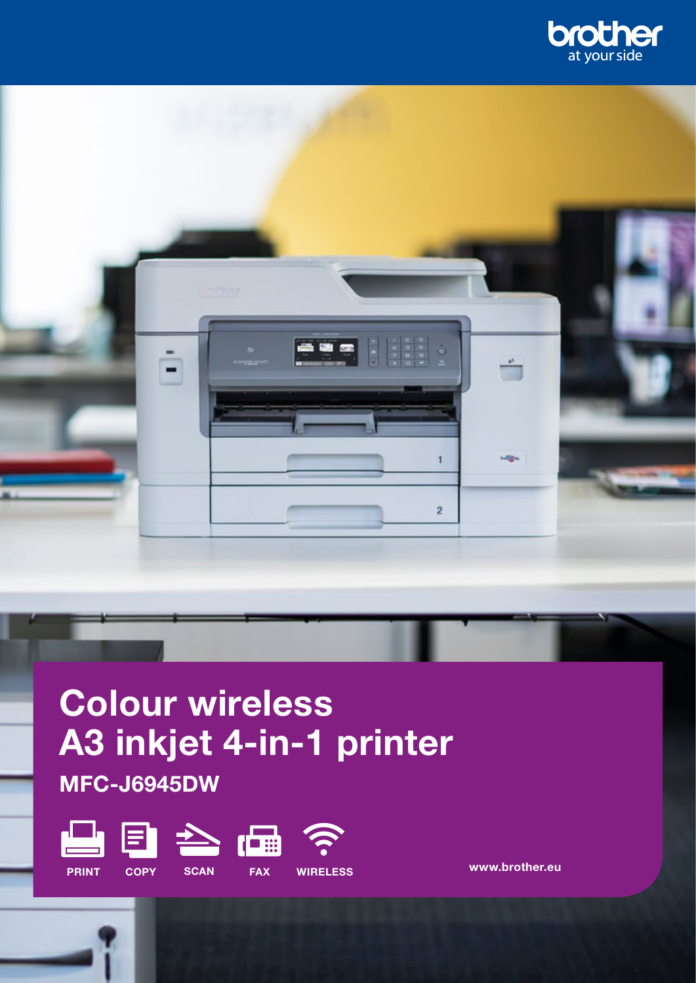



# Colour wireless A3 inkjet 4-in-1 printer MFC-J6945DW



www.brother.eu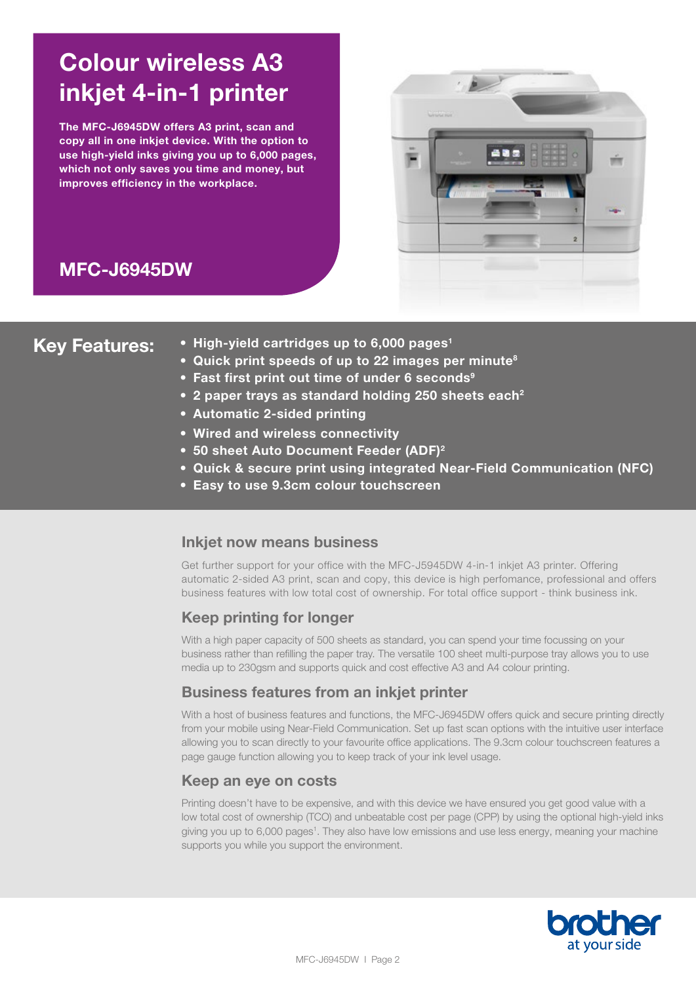# Colour wireless A3 inkjet 4-in-1 printer

The MFC-J6945DW offers A3 print, scan and copy all in one inkjet device. With the option to use high-yield inks giving you up to 6,000 pages, which not only saves you time and money, but improves efficiency in the workplace.



# MFC-J6945DW

- Key Features: High-yield cartridges up to 6,000 pages<sup>1</sup>
	- Quick print speeds of up to 22 images per minute<sup>8</sup>
	- Fast first print out time of under 6 seconds<sup>9</sup>
	- 2 paper trays as standard holding 250 sheets each<sup>2</sup>
	- Automatic 2-sided printing
	- Wired and wireless connectivity
	- 50 sheet Auto Document Feeder (ADF)<sup>2</sup>
	- Quick & secure print using integrated Near-Field Communication (NFC)
	- Easy to use 9.3cm colour touchscreen

# Inkjet now means business

Get further support for your office with the MFC-J5945DW 4-in-1 inkjet A3 printer. Offering automatic 2-sided A3 print, scan and copy, this device is high perfomance, professional and offers business features with low total cost of ownership. For total office support - think business ink.

# Keep printing for longer

With a high paper capacity of 500 sheets as standard, you can spend your time focussing on your business rather than refilling the paper tray. The versatile 100 sheet multi-purpose tray allows you to use media up to 230gsm and supports quick and cost effective A3 and A4 colour printing.

# Business features from an inkjet printer

With a host of business features and functions, the MFC-J6945DW offers quick and secure printing directly from your mobile using Near-Field Communication. Set up fast scan options with the intuitive user interface allowing you to scan directly to your favourite office applications. The 9.3cm colour touchscreen features a page gauge function allowing you to keep track of your ink level usage.

# Keep an eye on costs

Printing doesn't have to be expensive, and with this device we have ensured you get good value with a low total cost of ownership (TCO) and unbeatable cost per page (CPP) by using the optional high-yield inks giving you up to 6,000 pages<sup>1</sup>. They also have low emissions and use less energy, meaning your machine supports you while you support the environment.

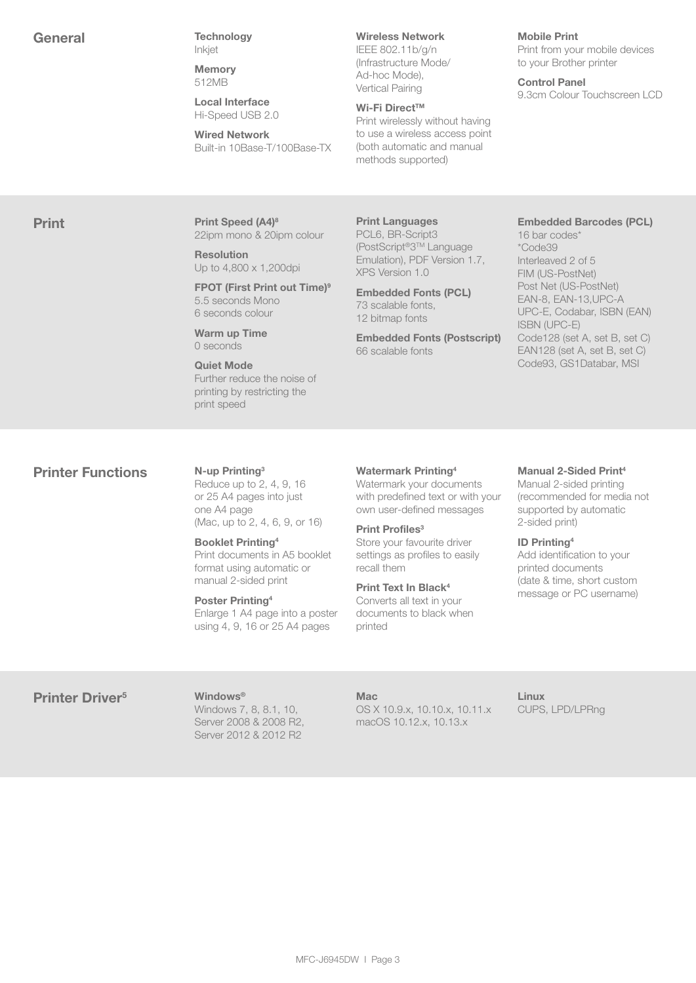General Technology Inkjet

> **Memory** 512MB

Local Interface Hi-Speed USB 2.0

Wired Network Built-in 10Base-T/100Base-TX

#### Wireless Network

IEEE 802.11b/g/n (Infrastructure Mode/ Ad-hoc Mode), Vertical Pairing

#### Wi-Fi Direct™

Print wirelessly without having to use a wireless access point (both automatic and manual methods supported)

#### Mobile Print

Print from your mobile devices to your Brother printer

Control Panel 9.3cm Colour Touchscreen LCD

**Print Print Speed (A4)8** 22ipm mono & 20ipm colour

> Resolution Up to 4,800 x 1,200dpi

FPOT (First Print out Time)<sup>9</sup> 5.5 seconds Mono 6 seconds colour

Warm up Time 0 seconds

Quiet Mode Further reduce the noise of printing by restricting the print speed

Print Languages PCL6, BR-Script3 (PostScript®3TM Language Emulation), PDF Version 1.7, XPS Version 1.0

Embedded Fonts (PCL) 73 scalable fonts, 12 bitmap fonts

Embedded Fonts (Postscript) 66 scalable fonts

#### Embedded Barcodes (PCL)

16 bar codes\* \*Code39 Interleaved 2 of 5 FIM (US-PostNet) Post Net (US-PostNet) EAN-8, EAN-13,UPC-A UPC-E, Codabar, ISBN (EAN) ISBN (UPC-E) Code128 (set A, set B, set C) EAN128 (set A, set B, set C) Code93, GS1Databar, MSI

# **Printer Functions** N-up Printing<sup>3</sup>

Reduce up to 2, 4, 9, 16 or 25 A4 pages into just one A4 page (Mac, up to 2, 4, 6, 9, or 16)

Booklet Printing4 Print documents in A5 booklet format using automatic or manual 2-sided print

Poster Printing4 Enlarge 1 A4 page into a poster using 4, 9, 16 or 25 A4 pages

#### Watermark Printing4

Watermark your documents with predefined text or with your own user-defined messages

#### Print Profiles<sup>3</sup>

Store your favourite driver settings as profiles to easily recall them

# Print Text In Black4

Converts all text in your documents to black when printed

#### Manual 2-Sided Print<sup>4</sup>

Manual 2-sided printing (recommended for media not supported by automatic 2-sided print)

#### ID Printing4

Add identification to your printed documents (date & time, short custom message or PC username)

# Printer Driver<sup>5</sup> Windows<sup>®</sup>

Windows 7, 8, 8.1, 10, Server 2008 & 2008 R2, Server 2012 & 2012 R2

### Mac

OS X 10.9.x, 10.10.x, 10.11.x macOS 10.12.x, 10.13.x

Linux CUPS, LPD/LPRng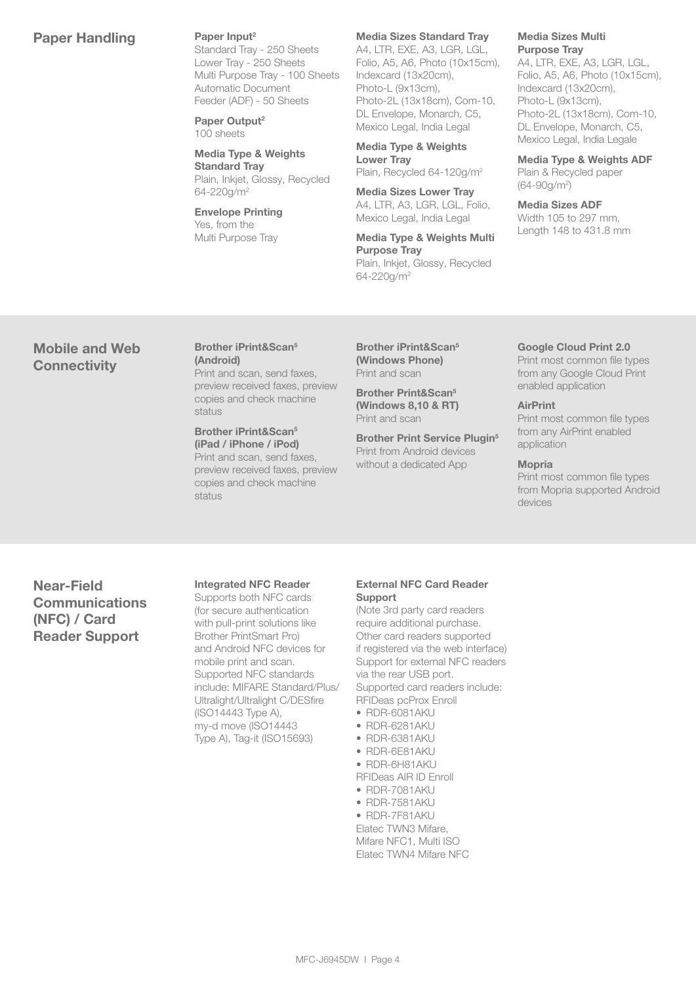# Paper Handling Paper Input<sup>2</sup>

Standard Tray - 250 Sheets Lower Tray - 250 Sheets Multi Purpose Tray - 100 Sheets Automatic Document Feeder (ADF) - 50 Sheets

Paper Output<sup>2</sup> 100 sheets

Media Type & Weights Standard Tray Plain, Inkjet, Glossy, Recycled 64-220g/m2

Envelope Printing Yes, from the Multi Purpose Tray

### Media Sizes Standard Tray

A4, LTR, EXE, A3, LGR, LGL, Folio, A5, A6, Photo (10x15cm), Indexcard (13x20cm), Photo-L (9x13cm), Photo-2L (13x18cm), Com-10, DL Envelope, Monarch, C5, Mexico Legal, India Legal

Media Type & Weights Lower Tray Plain, Recycled 64-120g/m2

Media Sizes Lower Tray A4, LTR, A3, LGR, LGL, Folio, Mexico Legal, India Legal

Media Type & Weights Multi Purpose Tray Plain, Inkjet, Glossy, Recycled 64-220g/m2

#### Media Sizes Multi Purpose Tray

A4, LTR, EXE, A3, LGR, LGL, Folio, A5, A6, Photo (10x15cm), Indexcard (13x20cm), Photo-L (9x13cm), Photo-2L (13x18cm), Com-10, DL Envelope, Monarch, C5, Mexico Legal, India Legale

Media Type & Weights ADF Plain & Recycled paper (64-90g/m2 )

Media Sizes ADF Width 105 to 297 mm, Length 148 to 431.8 mm

Google Cloud Print 2.0 Print most common file types from any Google Cloud Print

enabled application

# Mobile and Web **Connectivity**

Brother iPrint&Scan5 (Android) Print and scan, send faxes, preview received faxes, preview copies and check machine

status

Brother iPrint&Scan5 (iPad / iPhone / iPod) Print and scan, send faxes, preview received faxes, preview copies and check machine status

Brother iPrint&Scan5 (Windows Phone) Print and scan

Brother Print&Scan5 (Windows 8,10 & RT) Print and scan

Brother Print Service Plugin<sup>5</sup> Print from Android devices without a dedicated App

from any AirPrint enabled application

Print most common file types

#### Mopria

**AirPrint** 

Print most common file types from Mopria supported Android devices

Near-Field **Communications** (NFC) / Card Reader Support

#### Integrated NFC Reader

Supports both NFC cards (for secure authentication with pull-print solutions like Brother PrintSmart Pro) and Android NFC devices for mobile print and scan. Supported NFC standards include: MIFARE Standard/Plus/ Ultralight/Ultralight C/DESfire (ISO14443 Type A), my-d move (ISO14443 Type A), Tag-it (ISO15693)

#### External NFC Card Reader Support

(Note 3rd party card readers require additional purchase. Other card readers supported if registered via the web interface) Support for external NFC readers via the rear USB port. Supported card readers include: RFIDeas pcProx Enroll

- RDR-6081AKU
- RDR-6281AKU
- RDR-6381AKU
- RDR-6E81AKU • RDR-6H81AKU
- RFIDeas AIR ID Enroll
- RDR-7081AKU
- RDR-7581AKU
- RDR-7F81AKU
- Elatec TWN3 Mifare, Mifare NFC1, Multi ISO Elatec TWN4 Mifare NFC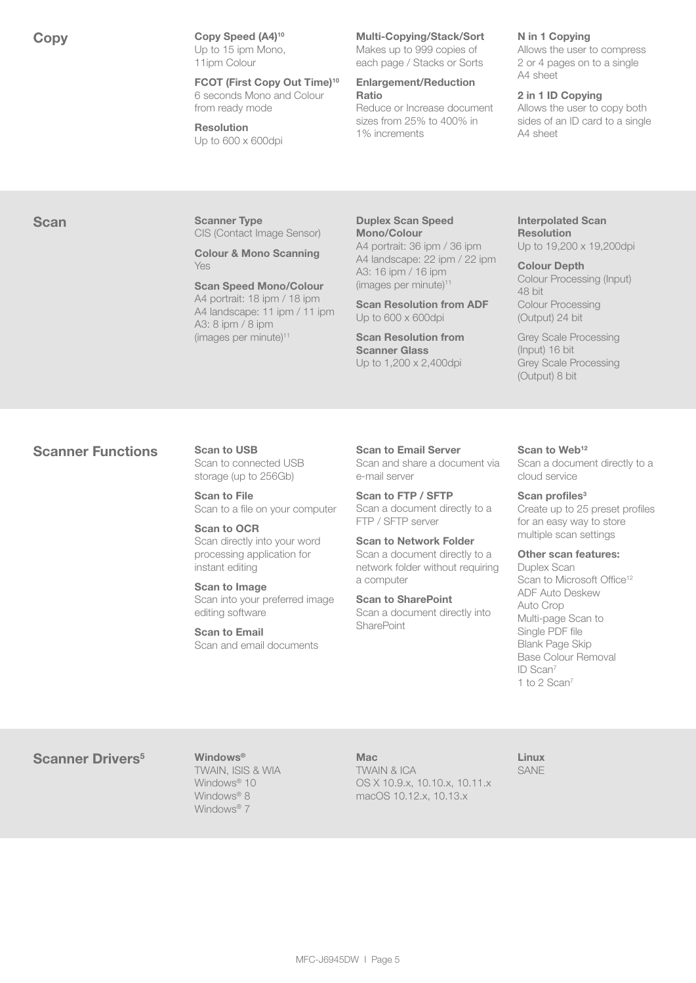Copy Speed (A4)<sup>10</sup> Up to 15 ipm Mono, 11ipm Colour

> FCOT (First Copy Out Time)10 6 seconds Mono and Colour from ready mode

Resolution Up to 600 x 600dpi

#### Multi-Copying/Stack/Sort

Makes up to 999 copies of each page / Stacks or Sorts

### Enlargement/Reduction Ratio

Reduce or Increase document sizes from 25% to 400% in 1% increments

#### N in 1 Copying

Allows the user to compress 2 or 4 pages on to a single A4 sheet

#### 2 in 1 ID Copying

Allows the user to copy both sides of an ID card to a single A4 sheet

#### Scan Scanner Type CIS (Contact Image Sensor)

Colour & Mono Scanning Yes

#### Scan Speed Mono/Colour A4 portrait: 18 ipm / 18 ipm A4 landscape: 11 ipm / 11 ipm A3: 8 ipm / 8 ipm (images per minute)<sup>11</sup>

Duplex Scan Speed Mono/Colour A4 portrait: 36 ipm / 36 ipm A4 landscape: 22 ipm / 22 ipm

A3: 16 ipm / 16 ipm  $(images per minute)$ <sup>11</sup>

Scan Resolution from ADF Up to 600 x 600dpi

Scan Resolution from Scanner Glass Up to 1,200 x 2,400dpi

### Interpolated Scan Resolution

Up to 19,200 x 19,200dpi Colour Depth

#### Colour Processing (Input) 48 bit Colour Processing

(Output) 24 bit Grey Scale Processing (Input) 16 bit Grey Scale Processing

# **Scanner Functions** Scan to USB

Scan to connected USB storage (up to 256Gb)

Scan to File Scan to a file on your computer

#### Scan to OCR

Scan directly into your word processing application for instant editing

Scan to Image Scan into your preferred image editing software

Scan to Email Scan and email documents Scan to Email Server Scan and share a document via e-mail server

Scan to FTP / SFTP Scan a document directly to a FTP / SFTP server

Scan to Network Folder Scan a document directly to a network folder without requiring a computer

Scan to SharePoint Scan a document directly into **SharePoint** 

#### Scan to Web<sup>12</sup>

(Output) 8 bit

Scan a document directly to a cloud service

#### Scan profiles<sup>3</sup>

Create up to 25 preset profiles for an easy way to store multiple scan settings

#### Other scan features:

Duplex Scan Scan to Microsoft Office<sup>12</sup> ADF Auto Deskew Auto Crop Multi-page Scan to Single PDF file Blank Page Skip Base Colour Removal ID Scan7 1 to 2 Scan7

# Scanner Drivers<sup>5</sup> Windows<sup>®</sup>

TWAIN, ISIS & WIA Windows<sup>®</sup> 10 Windows<sup>®</sup> 8 Windows<sup>®</sup> 7

**Mac** TWAIN & ICA OS X 10.9.x, 10.10.x, 10.11.x macOS 10.12.x, 10.13.x

Linux SANE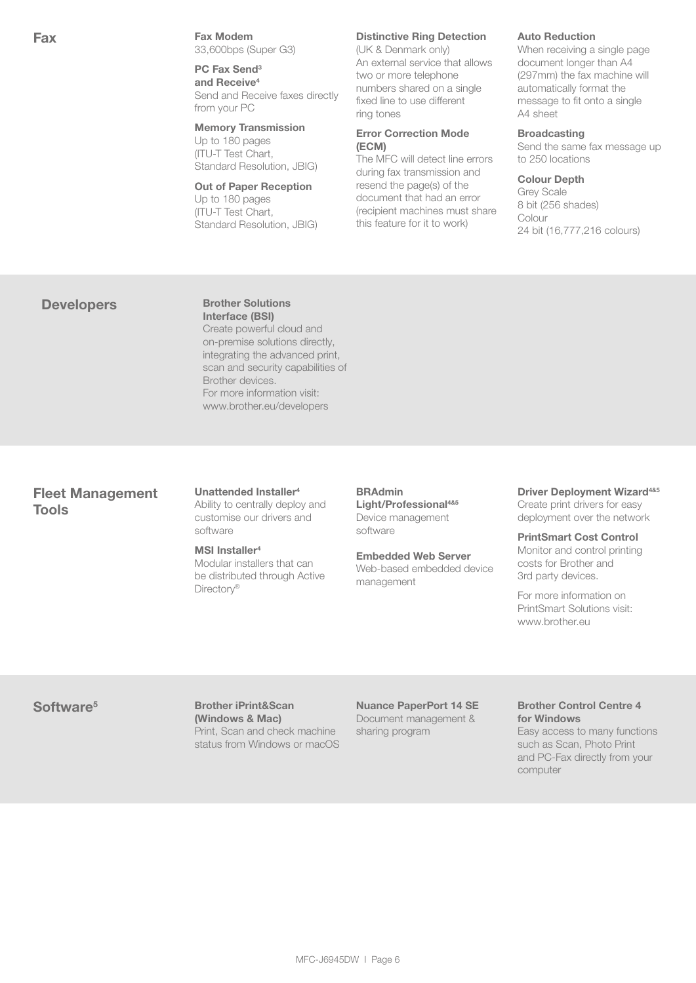Fax **Fax** Fax Modem 33,600bps (Super G3)

> PC Fax Send<sup>3</sup> and Receive<sup>4</sup> Send and Receive faxes directly from your PC

# Memory Transmission

Up to 180 pages (ITU-T Test Chart, Standard Resolution, JBIG)

#### Out of Paper Reception

Up to 180 pages (ITU-T Test Chart, Standard Resolution, JBIG)

#### Distinctive Ring Detection

(UK & Denmark only) An external service that allows two or more telephone numbers shared on a single fixed line to use different ring tones

#### Error Correction Mode (ECM)

The MFC will detect line errors during fax transmission and resend the page(s) of the document that had an error (recipient machines must share this feature for it to work)

#### Auto Reduction

When receiving a single page document longer than A4 (297mm) the fax machine will automatically format the message to fit onto a single A4 sheet

#### **Broadcasting**

Send the same fax message up to 250 locations

#### Colour Depth

Grey Scale 8 bit (256 shades) Colour 24 bit (16,777,216 colours)

# Developers Brother Solutions

Interface (BSI) Create powerful cloud and on-premise solutions directly, integrating the advanced print, scan and security capabilities of Brother devices. For more information visit: www.brother.eu/developers

# Fleet Management Tools

#### Unattended Installer4 Ability to centrally deploy and customise our drivers and software

#### MSI Installer<sup>4</sup>

Modular installers that can be distributed through Active Directory<sup>®</sup>

### BRAdmin Light/Professional<sup>4&5</sup>

Device management software

## Embedded Web Server

Web-based embedded device management

#### Driver Deployment Wizard<sup>4&5</sup> Create print drivers for easy deployment over the network

PrintSmart Cost Control Monitor and control printing costs for Brother and 3rd party devices.

For more information on PrintSmart Solutions visit: www.brother.eu

Software<sup>5</sup> Brother iPrint&Scan (Windows & Mac) Print, Scan and check machine status from Windows or macOS

Nuance PaperPort 14 SE Document management & sharing program

#### Brother Control Centre 4 for Windows

Easy access to many functions such as Scan, Photo Print and PC-Fax directly from your computer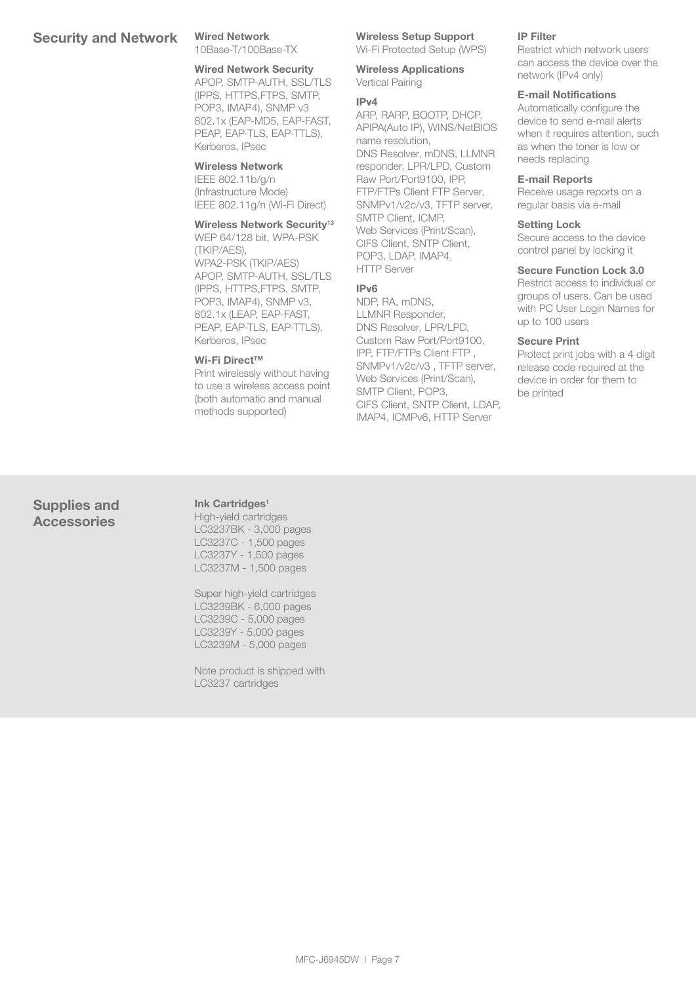# Security and Network Wired Network

10Base-T/100Base-TX

# Wired Network Security

APOP, SMTP-AUTH, SSL/TLS (IPPS, HTTPS,FTPS, SMTP, POP3, IMAP4), SNMP v3 802.1x (EAP-MD5, EAP-FAST, PEAP, EAP-TLS, EAP-TTLS), Kerberos, IPsec

#### Wireless Network

IEEE 802.11b/g/n (Infrastructure Mode) IEEE 802.11g/n (Wi-Fi Direct)

#### Wireless Network Security<sup>13</sup>

WEP 64/128 bit, WPA-PSK (TKIP/AES), WPA2-PSK (TKIP/AES) APOP, SMTP-AUTH, SSL/TLS (IPPS, HTTPS,FTPS, SMTP, POP3, IMAP4), SNMP v3, 802.1x (LEAP, EAP-FAST, PEAP, EAP-TLS, EAP-TTLS), Kerberos, IPsec

#### Wi-Fi Direct™

Print wirelessly without having to use a wireless access point (both automatic and manual methods supported)

### Wireless Setup Support

Wi-Fi Protected Setup (WPS)

Wireless Applications Vertical Pairing

#### IPv4

ARP, RARP, BOOTP, DHCP, APIPA(Auto IP), WINS/NetBIOS name resolution, DNS Resolver, mDNS, LLMNR responder, LPR/LPD, Custom Raw Port/Port9100, IPP, FTP/FTPs Client FTP Server, SNMPv1/v2c/v3, TFTP server, SMTP Client, ICMP, Web Services (Print/Scan), CIFS Client, SNTP Client, POP3, LDAP, IMAP4,

#### IPv6

HTTP Server

NDP, RA, mDNS, LLMNR Responder, DNS Resolver, LPR/LPD, Custom Raw Port/Port9100, IPP, FTP/FTPs Client FTP , SNMPv1/v2c/v3 , TFTP server, Web Services (Print/Scan), SMTP Client, POP3, CIFS Client, SNTP Client, LDAP, IMAP4, ICMPv6, HTTP Server

#### IP Filter

Restrict which network users can access the device over the network (IPv4 only)

#### E-mail Notifications

Automatically configure the device to send e-mail alerts when it requires attention, such as when the toner is low or needs replacing

#### E-mail Reports

Receive usage reports on a regular basis via e-mail

#### Setting Lock

Secure access to the device control panel by locking it

#### Secure Function Lock 3.0

Restrict access to individual or groups of users. Can be used with PC User Login Names for up to 100 users

#### Secure Print

Protect print jobs with a 4 digit release code required at the device in order for them to be printed

# Supplies and **Accessories**

Ink Cartridges<sup>1</sup> High-yield cartridges LC3237BK - 3,000 pages LC3237C - 1,500 pages LC3237Y - 1,500 pages LC3237M - 1,500 pages

Super high-yield cartridges LC3239BK - 6,000 pages LC3239C - 5,000 pages LC3239Y - 5,000 pages LC3239M - 5,000 pages

Note product is shipped with LC3237 cartridges